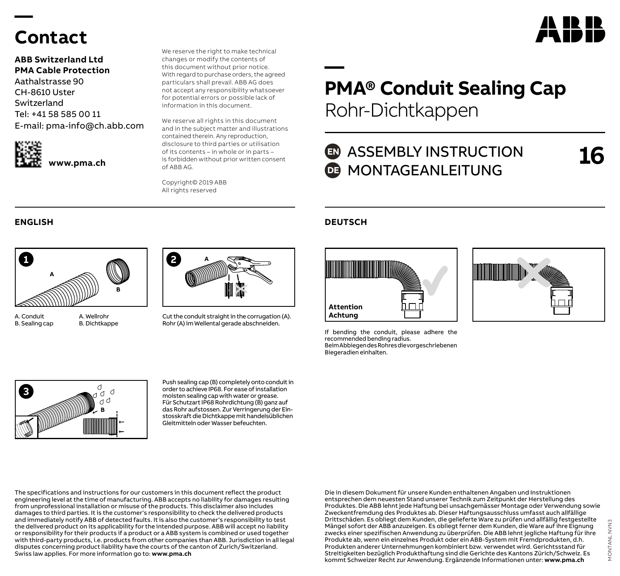## **Contact**

**—** 

**ABB Switzerland Ltd PMA Cable Protection** Aathalstrasse 90 CH-8610 Uster Switzerland Tel: +41 58 585 00 11 E-mail: pma-info@ch.abb.com



We reserve the right to make technical changes or modify the contents of this document without prior notice. With regard to purchase orders, the agreed particulars shall prevail. ABB AG does not accept any responsibility whatsoever for potential errors or possible lack of information in this document.

We reserve all rights in this document and in the subject matter and illustrations contained therein. Any reproduction, disclosure to third parties or utilisation of its contents – in whole or in parts – is forbidden without prior written consent of ABB AG.

Copyright© 2019 ABB All rights reserved



A. Conduit B. Sealing cap



A. Wellrohr B. Dichtkappe



Cut the conduit straight in the corrugation (A). Rohr (A) im Wellental gerade abschneiden.

### **— PMA® Conduit Sealing Cap** Rohr-Dichtkappen

### **ED** ASSEMBLY INSTRUCTION **DE MONTAGEANLEITUNG**

**16**

### **ENGLISH DEUTSCH**



If bending the conduit, please adhere the recommended bending radius. Beim Abbiegen des Rohres die vorgeschriebenen Biegeradien einhalten.





Push sealing cap (B) completely onto conduit in order to achieve IP68. For ease of installation moisten sealing cap with water or grease. Für Schutzart IP68 Rohrdichtung (B) ganz auf das Rohr aufstossen. Zur Verringerung der Einstosskraft die Dichtkappe mit handelsüblichen Gleitmitteln oder Wasser befeuchten.

The specifications and instructions for our customers in this document reflect the product engineering level at the time of manufacturing. ABB accepts no liability for damages resulting from unprofessional installation or misuse of the products. This disclaimer also includes damages to third parties. It is the customer's responsibility to check the delivered products and immediately notify ABB of detected faults. It is also the customer's responsibility to test the delivered product on its applicability for the intended purpose. ABB will accept no liability or responsibility for their products if a product or a ABB system is combined or used together with third-party products, i.e. products from other companies than ABB. Jurisdiction in all legal disputes concerning product liability have the courts of the canton of Zurich/Switzerland. Swiss law applies. For more information go to: **www.pma.ch**

Die in diesem Dokument für unsere Kunden enthaltenen Angaben und Instruktionen entsprechen dem neuesten Stand unserer Technik zum Zeitpunkt der Herstellung des Produktes. Die ABB lehnt jede Haftung bei unsachgemässer Montage oder Verwendung sowie Zweckentfremdung des Produktes ab. Dieser Haftungsausschluss umfasst auch allfällige Drittschäden. Es obliegt dem Kunden, die gelieferte Ware zu prüfen und allfällig festgestellte Mängel sofort der ABB anzuzeigen. Es obliegt ferner dem Kunden, die Ware auf ihre Eignung zwecks einer spezifischen Anwendung zu überprüfen. Die ABB lehnt jegliche Haftung für ihre Produkte ab, wenn ein einzelnes Produkt oder ein ABB-System mit Fremdprodukten, d.h. Produkten anderer Unternehmungen kombiniert bzw. verwendet wird. Gerichtsstand für Streitigkeiten bezüglich Produkthaftung sind die Gerichte des Kantons Zürich/Schweiz. Es kommt Schweizer Recht zur Anwendung. Ergänzende Informationen unter: **www.pma.ch**